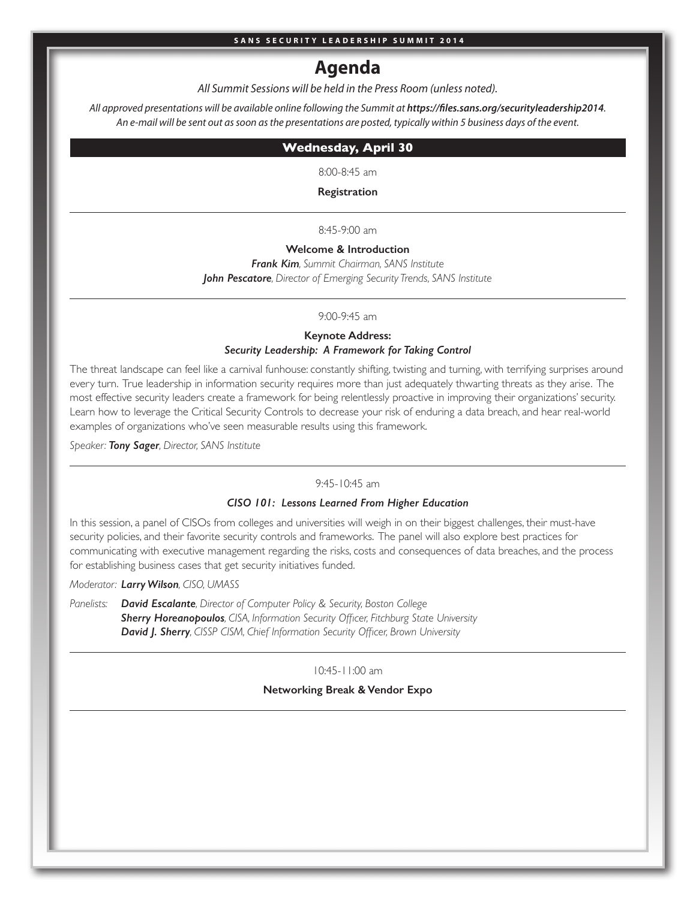# **Agenda**

*All Summit Sessions will be held in the Press Room (unless noted).*

All approved presentations will be available online following the Summit at https://files.sans.org/securityleadership2014. *An e-mail will be sent out as soon as the presentations are posted, typically within 5 business days of the event.*

## **Wednesday, April 30**

8:00-8:45 am

**Registration**

8:45-9:00 am

**Welcome & Introduction**  *Frank Kim, Summit Chairman, SANS Institute John Pescatore, Director of Emerging Security Trends, SANS Institute*

## 9:00-9:45 am

## **Keynote Address:** *Security Leadership: A Framework for Taking Control*

The threat landscape can feel like a carnival funhouse: constantly shifting, twisting and turning, with terrifying surprises around every turn. True leadership in information security requires more than just adequately thwarting threats as they arise. The most effective security leaders create a framework for being relentlessly proactive in improving their organizations' security. Learn how to leverage the Critical Security Controls to decrease your risk of enduring a data breach, and hear real-world examples of organizations who've seen measurable results using this framework.

*Speaker: Tony Sager, Director, SANS Institute*

## 9:45-10:45 am

### *CISO 101: Lessons Learned From Higher Education*

In this session, a panel of CISOs from colleges and universities will weigh in on their biggest challenges, their must-have security policies, and their favorite security controls and frameworks. The panel will also explore best practices for communicating with executive management regarding the risks, costs and consequences of data breaches, and the process for establishing business cases that get security initiatives funded.

*Moderator: Larry Wilson, CISO, UMASS* 

*Panelists: David Escalante, Director of Computer Policy & Security, Boston College Sherry Horeanopoulos, CISA, Information Security Officer, Fitchburg State University David J. Sherry, CISSP CISM, Chief Information Security Officer, Brown University*

10:45-11:00 am

### **Networking Break & Vendor Expo**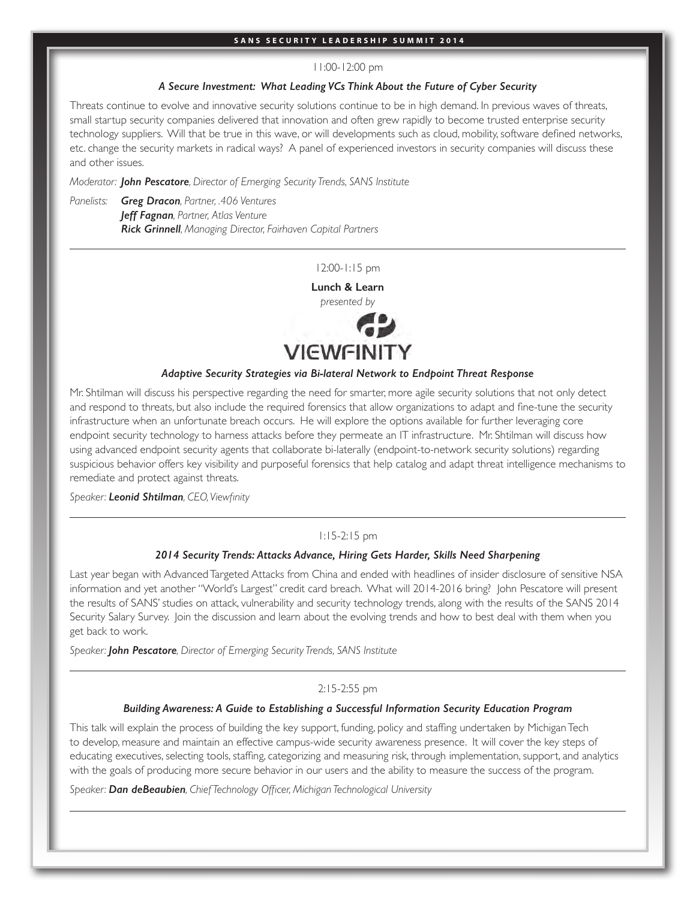#### 11:00-12:00 pm

## *A Secure Investment: What Leading VCs Think About the Future of Cyber Security*

Threats continue to evolve and innovative security solutions continue to be in high demand. In previous waves of threats, small startup security companies delivered that innovation and often grew rapidly to become trusted enterprise security technology suppliers. Will that be true in this wave, or will developments such as cloud, mobility, software defined networks, etc. change the security markets in radical ways? A panel of experienced investors in security companies will discuss these and other issues.

*Moderator: John Pescatore, Director of Emerging Security Trends, SANS Institute*

*Panelists: Greg Dracon, Partner, .406 Ventures Jeff Fagnan, Partner, Atlas Venture Rick Grinnell, Managing Director, Fairhaven Capital Partners*

12:00-1:15 pm

**Lunch & Learn** 



## *Adaptive Security Strategies via Bi-lateral Network to Endpoint Threat Response*

Mr. Shtilman will discuss his perspective regarding the need for smarter, more agile security solutions that not only detect and respond to threats, but also include the required forensics that allow organizations to adapt and fine-tune the security infrastructure when an unfortunate breach occurs. He will explore the options available for further leveraging core endpoint security technology to harness attacks before they permeate an IT infrastructure. Mr. Shtilman will discuss how using advanced endpoint security agents that collaborate bi-laterally (endpoint-to-network security solutions) regarding suspicious behavior offers key visibility and purposeful forensics that help catalog and adapt threat intelligence mechanisms to remediate and protect against threats.

*Speaker: Leonid Shtilman, CEO, Viewfinity*

## 1:15-2:15 pm

## *2014 Security Trends: Attacks Advance, Hiring Gets Harder, Skills Need Sharpening*

Last year began with Advanced Targeted Attacks from China and ended with headlines of insider disclosure of sensitive NSA information and yet another "World's Largest" credit card breach. What will 2014-2016 bring? John Pescatore will present the results of SANS' studies on attack, vulnerability and security technology trends, along with the results of the SANS 2014 Security Salary Survey. Join the discussion and learn about the evolving trends and how to best deal with them when you get back to work.

*Speaker: John Pescatore, Director of Emerging Security Trends, SANS Institute*

### 2:15-2:55 pm

## *Building Awareness: A Guide to Establishing a Successful Information Security Education Program*

This talk will explain the process of building the key support, funding, policy and staffing undertaken by Michigan Tech to develop, measure and maintain an effective campus-wide security awareness presence. It will cover the key steps of educating executives, selecting tools, staffing, categorizing and measuring risk, through implementation, support, and analytics with the goals of producing more secure behavior in our users and the ability to measure the success of the program.

*Speaker: Dan deBeaubien, Chief Technology Officer, Michigan Technological University*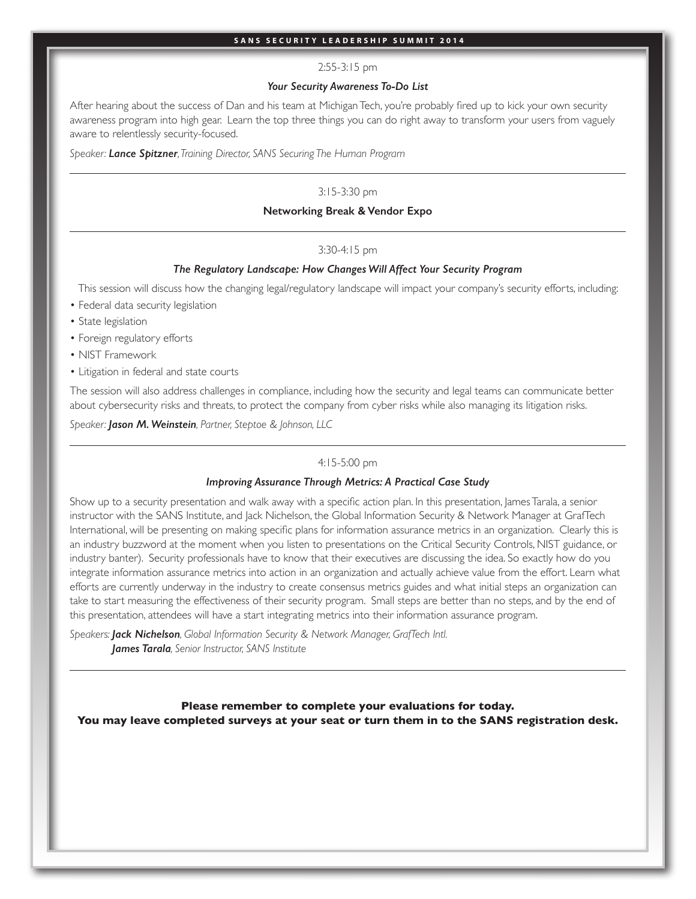## 2:55-3:15 pm

### *Your Security Awareness To-Do List*

After hearing about the success of Dan and his team at Michigan Tech, you're probably fired up to kick your own security awareness program into high gear. Learn the top three things you can do right away to transform your users from vaguely aware to relentlessly security-focused.

*Speaker: Lance Spitzner, Training Director, SANS Securing The Human Program*

## 3:15-3:30 pm

## **Networking Break & Vendor Expo**

## 3:30-4:15 pm

## *The Regulatory Landscape: How Changes Will Affect Your Security Program*

This session will discuss how the changing legal/regulatory landscape will impact your company's security efforts, including:

- Federal data security legislation
- State legislation
- Foreign regulatory efforts
- NIST Framework
- Litigation in federal and state courts

The session will also address challenges in compliance, including how the security and legal teams can communicate better about cybersecurity risks and threats, to protect the company from cyber risks while also managing its litigation risks.

*Speaker: Jason M. Weinstein, Partner, Steptoe & Johnson, LLC*

## 4:15-5:00 pm

#### *Improving Assurance Through Metrics: A Practical Case Study*

Show up to a security presentation and walk away with a specific action plan. In this presentation, James Tarala, a senior instructor with the SANS Institute, and Jack Nichelson, the Global Information Security & Network Manager at GrafTech International, will be presenting on making specific plans for information assurance metrics in an organization. Clearly this is an industry buzzword at the moment when you listen to presentations on the Critical Security Controls, NIST guidance, or industry banter). Security professionals have to know that their executives are discussing the idea. So exactly how do you integrate information assurance metrics into action in an organization and actually achieve value from the effort. Learn what efforts are currently underway in the industry to create consensus metrics guides and what initial steps an organization can take to start measuring the effectiveness of their security program. Small steps are better than no steps, and by the end of this presentation, attendees will have a start integrating metrics into their information assurance program.

*Speakers: Jack Nichelson, Global Information Security & Network Manager, GrafTech Intl. James Tarala, Senior Instructor, SANS Institute*

**Please remember to complete your evaluations for today. You may leave completed surveys at your seat or turn them in to the SANS registration desk.**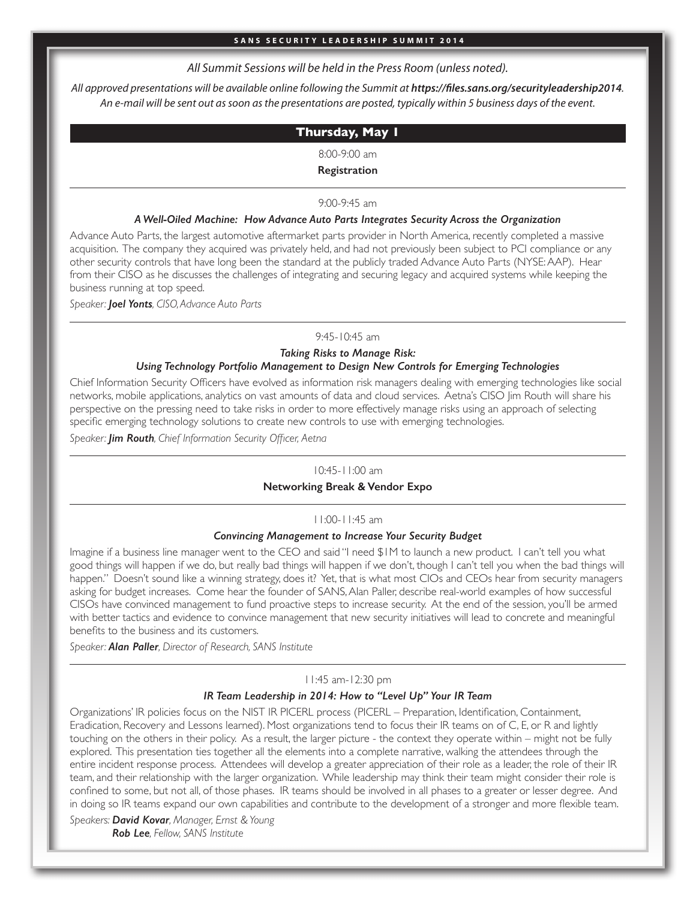## *All Summit Sessions will be held in the Press Room (unless noted).*

All approved presentations will be available online following the Summit at https://files.sans.org/securityleadership2014. *An e-mail will be sent out as soon as the presentations are posted, typically within 5 business days of the event.*

## **Thursday, May 1**

8:00-9:00 am

## **Registration**

## 9:00-9:45 am

## *A Well-Oiled Machine: How Advance Auto Parts Integrates Security Across the Organization*

Advance Auto Parts, the largest automotive aftermarket parts provider in North America, recently completed a massive acquisition. The company they acquired was privately held, and had not previously been subject to PCI compliance or any other security controls that have long been the standard at the publicly traded Advance Auto Parts (NYSE: AAP). Hear from their CISO as he discusses the challenges of integrating and securing legacy and acquired systems while keeping the business running at top speed.

*Speaker: Joel Yonts, CISO, Advance Auto Parts*

### 9:45-10:45 am

## *Taking Risks to Manage Risk: Using Technology Portfolio Management to Design New Controls for Emerging Technologies*

Chief Information Security Officers have evolved as information risk managers dealing with emerging technologies like social networks, mobile applications, analytics on vast amounts of data and cloud services. Aetna's CISO Jim Routh will share his perspective on the pressing need to take risks in order to more effectively manage risks using an approach of selecting specific emerging technology solutions to create new controls to use with emerging technologies.

*Speaker: Jim Routh, Chief Information Security Officer, Aetna*

## 10:45-11:00 am

## **Networking Break & Vendor Expo**

## 11:00-11:45 am

### *Convincing Management to Increase Your Security Budget*

Imagine if a business line manager went to the CEO and said "I need \$1M to launch a new product. I can't tell you what good things will happen if we do, but really bad things will happen if we don't, though I can't tell you when the bad things will happen." Doesn't sound like a winning strategy, does it? Yet, that is what most CIOs and CEOs hear from security managers asking for budget increases. Come hear the founder of SANS, Alan Paller, describe real-world examples of how successful CISOs have convinced management to fund proactive steps to increase security. At the end of the session, you'll be armed with better tactics and evidence to convince management that new security initiatives will lead to concrete and meaningful benefits to the business and its customers.

*Speaker: Alan Paller, Director of Research, SANS Institute*

## 11:45 am-12:30 pm

## *IR Team Leadership in 2014: How to "Level Up" Your IR Team*

Organizations' IR policies focus on the NIST IR PICERL process (PICERL – Preparation, Identification, Containment, Eradication, Recovery and Lessons learned). Most organizations tend to focus their IR teams on of C, E, or R and lightly touching on the others in their policy. As a result, the larger picture - the context they operate within – might not be fully explored. This presentation ties together all the elements into a complete narrative, walking the attendees through the entire incident response process. Attendees will develop a greater appreciation of their role as a leader, the role of their IR team, and their relationship with the larger organization. While leadership may think their team might consider their role is confined to some, but not all, of those phases. IR teams should be involved in all phases to a greater or lesser degree. And in doing so IR teams expand our own capabilities and contribute to the development of a stronger and more flexible team.

*Speakers: David Kovar, Manager, Ernst & Young Rob Lee, Fellow, SANS Institute*